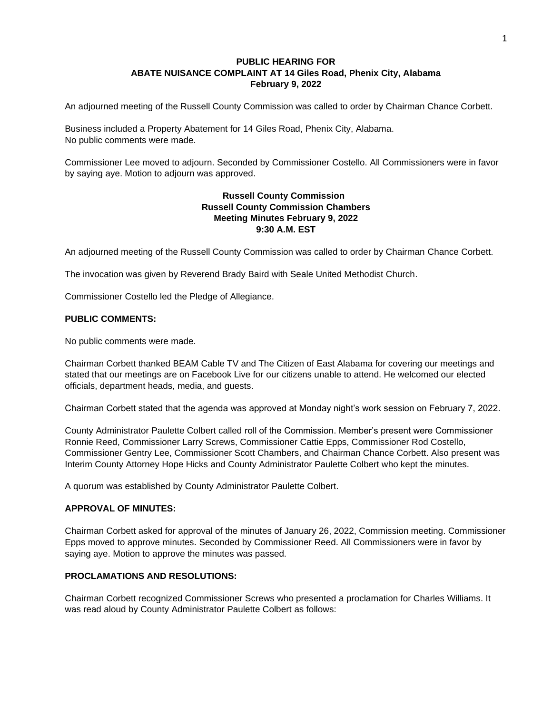## **PUBLIC HEARING FOR ABATE NUISANCE COMPLAINT AT 14 Giles Road, Phenix City, Alabama February 9, 2022**

An adjourned meeting of the Russell County Commission was called to order by Chairman Chance Corbett.

Business included a Property Abatement for 14 Giles Road, Phenix City, Alabama. No public comments were made.

Commissioner Lee moved to adjourn. Seconded by Commissioner Costello. All Commissioners were in favor by saying aye. Motion to adjourn was approved.

## **Russell County Commission Russell County Commission Chambers Meeting Minutes February 9, 2022 9:30 A.M. EST**

An adjourned meeting of the Russell County Commission was called to order by Chairman Chance Corbett.

The invocation was given by Reverend Brady Baird with Seale United Methodist Church.

Commissioner Costello led the Pledge of Allegiance.

## **PUBLIC COMMENTS:**

No public comments were made.

Chairman Corbett thanked BEAM Cable TV and The Citizen of East Alabama for covering our meetings and stated that our meetings are on Facebook Live for our citizens unable to attend. He welcomed our elected officials, department heads, media, and guests.

Chairman Corbett stated that the agenda was approved at Monday night's work session on February 7, 2022.

County Administrator Paulette Colbert called roll of the Commission. Member's present were Commissioner Ronnie Reed, Commissioner Larry Screws, Commissioner Cattie Epps, Commissioner Rod Costello, Commissioner Gentry Lee, Commissioner Scott Chambers, and Chairman Chance Corbett. Also present was Interim County Attorney Hope Hicks and County Administrator Paulette Colbert who kept the minutes.

A quorum was established by County Administrator Paulette Colbert.

## **APPROVAL OF MINUTES:**

Chairman Corbett asked for approval of the minutes of January 26, 2022, Commission meeting. Commissioner Epps moved to approve minutes. Seconded by Commissioner Reed. All Commissioners were in favor by saying aye. Motion to approve the minutes was passed.

## **PROCLAMATIONS AND RESOLUTIONS:**

Chairman Corbett recognized Commissioner Screws who presented a proclamation for Charles Williams. It was read aloud by County Administrator Paulette Colbert as follows: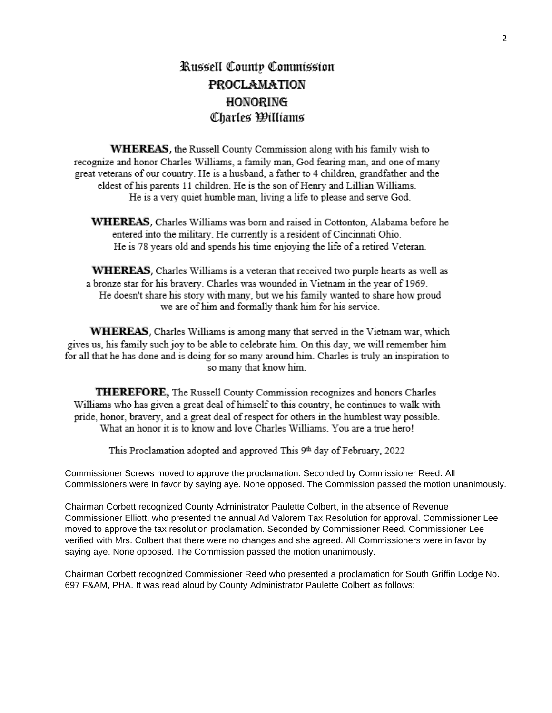# Russell County Commission **PROCLAMATION HONORING** Charles Williams

WHEREAS, the Russell County Commission along with his family wish to recognize and honor Charles Williams, a family man, God fearing man, and one of many great veterans of our country. He is a husband, a father to 4 children, grandfather and the eldest of his parents 11 children. He is the son of Henry and Lillian Williams. He is a very quiet humble man, living a life to please and serve God.

**WHEREAS**, Charles Williams was born and raised in Cottonton, Alabama before he entered into the military. He currently is a resident of Cincinnati Ohio. He is 78 years old and spends his time enjoying the life of a retired Veteran.

**WHEREAS**, Charles Williams is a veteran that received two purple hearts as well as a bronze star for his bravery. Charles was wounded in Vietnam in the year of 1969. He doesn't share his story with many, but we his family wanted to share how proud we are of him and formally thank him for his service.

WHEREAS, Charles Williams is among many that served in the Vietnam war, which gives us, his family such joy to be able to celebrate him. On this day, we will remember him for all that he has done and is doing for so many around him. Charles is truly an inspiration to so many that know him.

**THEREFORE**, The Russell County Commission recognizes and honors Charles Williams who has given a great deal of himself to this country, he continues to walk with pride, honor, bravery, and a great deal of respect for others in the humblest way possible. What an honor it is to know and love Charles Williams. You are a true hero!

This Proclamation adopted and approved This 9th day of February, 2022

Commissioner Screws moved to approve the proclamation. Seconded by Commissioner Reed. All Commissioners were in favor by saying aye. None opposed. The Commission passed the motion unanimously.

Chairman Corbett recognized County Administrator Paulette Colbert, in the absence of Revenue Commissioner Elliott, who presented the annual Ad Valorem Tax Resolution for approval. Commissioner Lee moved to approve the tax resolution proclamation. Seconded by Commissioner Reed. Commissioner Lee verified with Mrs. Colbert that there were no changes and she agreed. All Commissioners were in favor by saying aye. None opposed. The Commission passed the motion unanimously.

Chairman Corbett recognized Commissioner Reed who presented a proclamation for South Griffin Lodge No. 697 F&AM, PHA. It was read aloud by County Administrator Paulette Colbert as follows: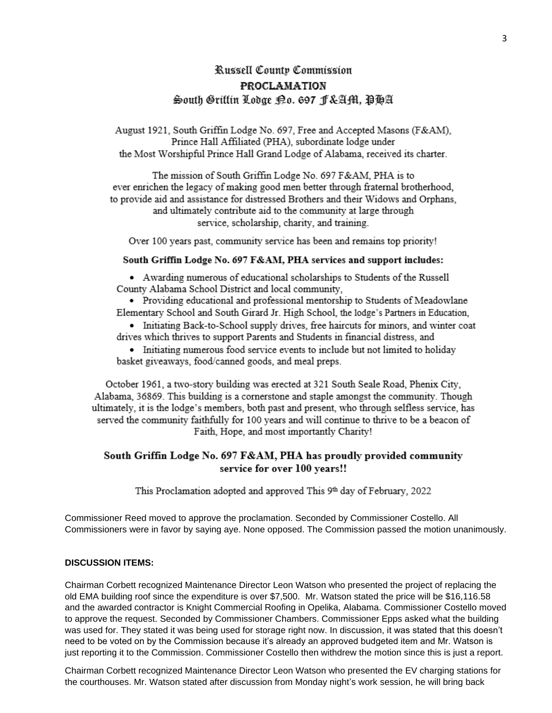## Russell County Commission **PROCLAMATION** South Griffin Lodge 19.0. 697 F&Aftl, PHA

August 1921, South Griffin Lodge No. 697, Free and Accepted Masons (F&AM), Prince Hall Affiliated (PHA), subordinate lodge under the Most Worshipful Prince Hall Grand Lodge of Alabama, received its charter.

The mission of South Griffin Lodge No. 697 F&AM, PHA is to ever enrichen the legacy of making good men better through fraternal brotherhood, to provide aid and assistance for distressed Brothers and their Widows and Orphans. and ultimately contribute aid to the community at large through service, scholarship, charity, and training.

Over 100 years past, community service has been and remains top priority!

## South Griffin Lodge No. 697 F&AM, PHA services and support includes:

• Awarding numerous of educational scholarships to Students of the Russell County Alabama School District and local community.

• Providing educational and professional mentorship to Students of Meadowlane Elementary School and South Girard Jr. High School, the lodge's Partners in Education,

• Initiating Back-to-School supply drives, free haircuts for minors, and winter coat drives which thrives to support Parents and Students in financial distress, and

• Initiating numerous food service events to include but not limited to holiday basket giveaways, food/canned goods, and meal preps.

October 1961, a two-story building was erected at 321 South Seale Road, Phenix City, Alabama, 36869. This building is a cornerstone and staple amongst the community. Though ultimately, it is the lodge's members, both past and present, who through selfless service, has served the community faithfully for 100 years and will continue to thrive to be a beacon of Faith, Hope, and most importantly Charity!

## South Griffin Lodge No. 697 F&AM, PHA has proudly provided community service for over 100 years!!

This Proclamation adopted and approved This 9th day of February, 2022

Commissioner Reed moved to approve the proclamation. Seconded by Commissioner Costello. All Commissioners were in favor by saying aye. None opposed. The Commission passed the motion unanimously.

#### **DISCUSSION ITEMS:**

Chairman Corbett recognized Maintenance Director Leon Watson who presented the project of replacing the old EMA building roof since the expenditure is over \$7,500. Mr. Watson stated the price will be \$16,116.58 and the awarded contractor is Knight Commercial Roofing in Opelika, Alabama. Commissioner Costello moved to approve the request. Seconded by Commissioner Chambers. Commissioner Epps asked what the building was used for. They stated it was being used for storage right now. In discussion, it was stated that this doesn't need to be voted on by the Commission because it's already an approved budgeted item and Mr. Watson is just reporting it to the Commission. Commissioner Costello then withdrew the motion since this is just a report.

Chairman Corbett recognized Maintenance Director Leon Watson who presented the EV charging stations for the courthouses. Mr. Watson stated after discussion from Monday night's work session, he will bring back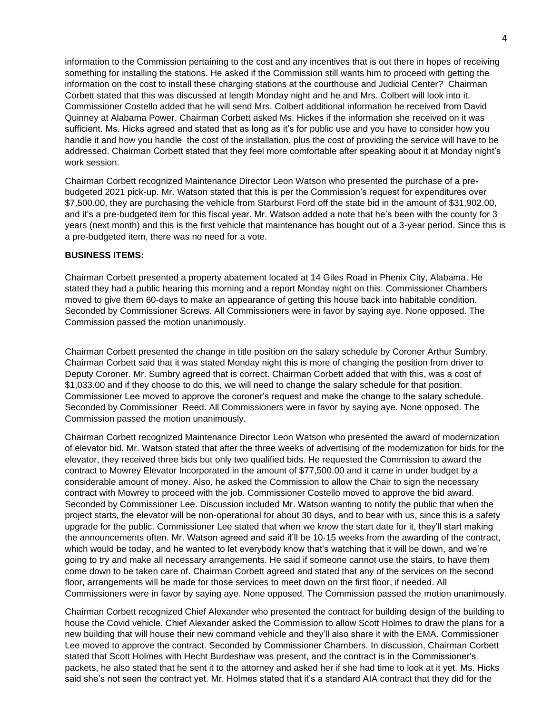information to the Commission pertaining to the cost and any incentives that is out there in hopes of receiving something for installing the stations. He asked if the Commission still wants him to proceed with getting the information on the cost to install these charging stations at the courthouse and Judicial Center? Chairman Corbett stated that this was discussed at length Monday night and he and Mrs. Colbert will look into it. Commissioner Costello added that he will send Mrs. Colbert additional information he received from David Quinney at Alabama Power. Chairman Corbett asked Ms. Hickes if the information she received on it was sufficient. Ms. Hicks agreed and stated that as long as it's for public use and you have to consider how you handle it and how you handle the cost of the installation, plus the cost of providing the service will have to be addressed. Chairman Corbett stated that they feel more comfortable after speaking about it at Monday night's work session.

Chairman Corbett recognized Maintenance Director Leon Watson who presented the purchase of a prebudgeted 2021 pick-up. Mr. Watson stated that this is per the Commission's request for expenditures over \$7,500.00, they are purchasing the vehicle from Starburst Ford off the state bid in the amount of \$31,902.00, and it's a pre-budgeted item for this fiscal year. Mr. Watson added a note that he's been with the county for 3 years (next month) and this is the first vehicle that maintenance has bought out of a 3-year period. Since this is a pre-budgeted item, there was no need for a vote.

## **BUSINESS ITEMS:**

Chairman Corbett presented a property abatement located at 14 Giles Road in Phenix City, Alabama. He stated they had a public hearing this morning and a report Monday night on this. Commissioner Chambers moved to give them 60-days to make an appearance of getting this house back into habitable condition. Seconded by Commissioner Screws. All Commissioners were in favor by saying aye. None opposed. The Commission passed the motion unanimously.

Chairman Corbett presented the change in title position on the salary schedule by Coroner Arthur Sumbry. Chairman Corbett said that it was stated Monday night this is more of changing the position from driver to Deputy Coroner. Mr. Sumbry agreed that is correct. Chairman Corbett added that with this, was a cost of \$1,033.00 and if they choose to do this, we will need to change the salary schedule for that position. Commissioner Lee moved to approve the coroner's request and make the change to the salary schedule. Seconded by Commissioner Reed. All Commissioners were in favor by saying aye. None opposed. The Commission passed the motion unanimously.

Chairman Corbett recognized Maintenance Director Leon Watson who presented the award of modernization of elevator bid. Mr. Watson stated that after the three weeks of advertising of the modernization for bids for the elevator, they received three bids but only two qualified bids. He requested the Commission to award the contract to Mowrey Elevator Incorporated in the amount of \$77,500.00 and it came in under budget by a considerable amount of money. Also, he asked the Commission to allow the Chair to sign the necessary contract with Mowrey to proceed with the job. Commissioner Costello moved to approve the bid award. Seconded by Commissioner Lee. Discussion included Mr. Watson wanting to notify the public that when the project starts, the elevator will be non-operational for about 30 days, and to bear with us, since this is a safety upgrade for the public. Commissioner Lee stated that when we know the start date for it, they'll start making the announcements often. Mr. Watson agreed and said it'll be 10-15 weeks from the awarding of the contract, which would be today, and he wanted to let everybody know that's watching that it will be down, and we're going to try and make all necessary arrangements. He said if someone cannot use the stairs, to have them come down to be taken care of. Chairman Corbett agreed and stated that any of the services on the second floor, arrangements will be made for those services to meet down on the first floor, if needed. All Commissioners were in favor by saying aye. None opposed. The Commission passed the motion unanimously.

Chairman Corbett recognized Chief Alexander who presented the contract for building design of the building to house the Covid vehicle. Chief Alexander asked the Commission to allow Scott Holmes to draw the plans for a new building that will house their new command vehicle and they'll also share it with the EMA. Commissioner Lee moved to approve the contract. Seconded by Commissioner Chambers. In discussion, Chairman Corbett stated that Scott Holmes with Hecht Burdeshaw was present, and the contract is in the Commissioner's packets, he also stated that he sent it to the attorney and asked her if she had time to look at it yet. Ms. Hicks said she's not seen the contract yet. Mr. Holmes stated that it's a standard AIA contract that they did for the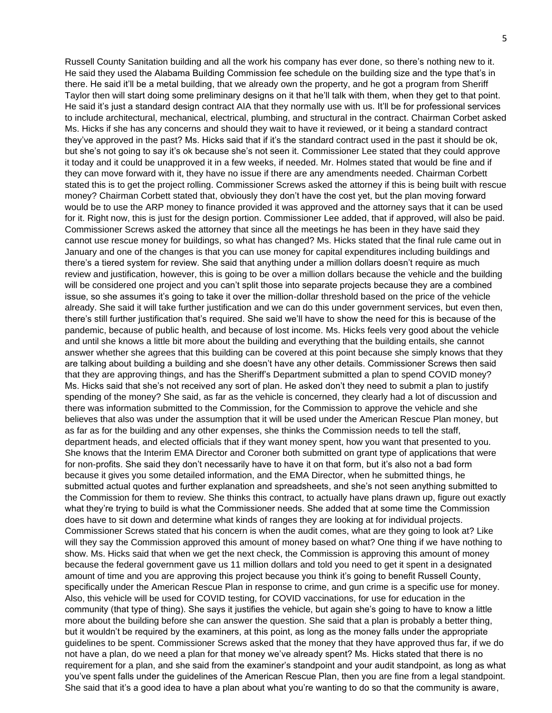Russell County Sanitation building and all the work his company has ever done, so there's nothing new to it. He said they used the Alabama Building Commission fee schedule on the building size and the type that's in there. He said it'll be a metal building, that we already own the property, and he got a program from Sheriff Taylor then will start doing some preliminary designs on it that he'll talk with them, when they get to that point. He said it's just a standard design contract AIA that they normally use with us. It'll be for professional services to include architectural, mechanical, electrical, plumbing, and structural in the contract. Chairman Corbet asked Ms. Hicks if she has any concerns and should they wait to have it reviewed, or it being a standard contract they've approved in the past? Ms. Hicks said that if it's the standard contract used in the past it should be ok, but she's not going to say it's ok because she's not seen it. Commissioner Lee stated that they could approve it today and it could be unapproved it in a few weeks, if needed. Mr. Holmes stated that would be fine and if they can move forward with it, they have no issue if there are any amendments needed. Chairman Corbett stated this is to get the project rolling. Commissioner Screws asked the attorney if this is being built with rescue money? Chairman Corbett stated that, obviously they don't have the cost yet, but the plan moving forward would be to use the ARP money to finance provided it was approved and the attorney says that it can be used for it. Right now, this is just for the design portion. Commissioner Lee added, that if approved, will also be paid. Commissioner Screws asked the attorney that since all the meetings he has been in they have said they cannot use rescue money for buildings, so what has changed? Ms. Hicks stated that the final rule came out in January and one of the changes is that you can use money for capital expenditures including buildings and there's a tiered system for review. She said that anything under a million dollars doesn't require as much review and justification, however, this is going to be over a million dollars because the vehicle and the building will be considered one project and you can't split those into separate projects because they are a combined issue, so she assumes it's going to take it over the million-dollar threshold based on the price of the vehicle already. She said it will take further justification and we can do this under government services, but even then, there's still further justification that's required. She said we'll have to show the need for this is because of the pandemic, because of public health, and because of lost income. Ms. Hicks feels very good about the vehicle and until she knows a little bit more about the building and everything that the building entails, she cannot answer whether she agrees that this building can be covered at this point because she simply knows that they are talking about building a building and she doesn't have any other details. Commissioner Screws then said that they are approving things, and has the Sheriff's Department submitted a plan to spend COVID money? Ms. Hicks said that she's not received any sort of plan. He asked don't they need to submit a plan to justify spending of the money? She said, as far as the vehicle is concerned, they clearly had a lot of discussion and there was information submitted to the Commission, for the Commission to approve the vehicle and she believes that also was under the assumption that it will be used under the American Rescue Plan money, but as far as for the building and any other expenses, she thinks the Commission needs to tell the staff, department heads, and elected officials that if they want money spent, how you want that presented to you. She knows that the Interim EMA Director and Coroner both submitted on grant type of applications that were for non-profits. She said they don't necessarily have to have it on that form, but it's also not a bad form because it gives you some detailed information, and the EMA Director, when he submitted things, he submitted actual quotes and further explanation and spreadsheets, and she's not seen anything submitted to the Commission for them to review. She thinks this contract, to actually have plans drawn up, figure out exactly what they're trying to build is what the Commissioner needs. She added that at some time the Commission does have to sit down and determine what kinds of ranges they are looking at for individual projects. Commissioner Screws stated that his concern is when the audit comes, what are they going to look at? Like will they say the Commission approved this amount of money based on what? One thing if we have nothing to show. Ms. Hicks said that when we get the next check, the Commission is approving this amount of money because the federal government gave us 11 million dollars and told you need to get it spent in a designated amount of time and you are approving this project because you think it's going to benefit Russell County, specifically under the American Rescue Plan in response to crime, and gun crime is a specific use for money. Also, this vehicle will be used for COVID testing, for COVID vaccinations, for use for education in the community (that type of thing). She says it justifies the vehicle, but again she's going to have to know a little more about the building before she can answer the question. She said that a plan is probably a better thing, but it wouldn't be required by the examiners, at this point, as long as the money falls under the appropriate guidelines to be spent. Commissioner Screws asked that the money that they have approved thus far, if we do not have a plan, do we need a plan for that money we've already spent? Ms. Hicks stated that there is no requirement for a plan, and she said from the examiner's standpoint and your audit standpoint, as long as what you've spent falls under the guidelines of the American Rescue Plan, then you are fine from a legal standpoint. She said that it's a good idea to have a plan about what you're wanting to do so that the community is aware,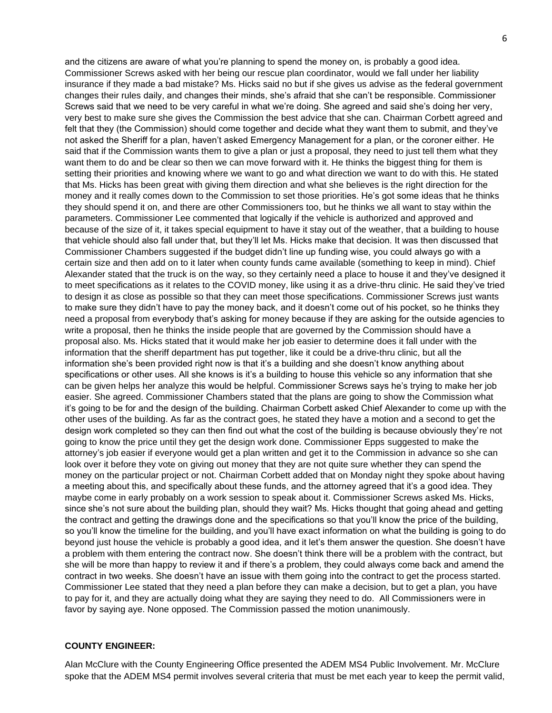and the citizens are aware of what you're planning to spend the money on, is probably a good idea. Commissioner Screws asked with her being our rescue plan coordinator, would we fall under her liability insurance if they made a bad mistake? Ms. Hicks said no but if she gives us advise as the federal government changes their rules daily, and changes their minds, she's afraid that she can't be responsible. Commissioner Screws said that we need to be very careful in what we're doing. She agreed and said she's doing her very, very best to make sure she gives the Commission the best advice that she can. Chairman Corbett agreed and felt that they (the Commission) should come together and decide what they want them to submit, and they've not asked the Sheriff for a plan, haven't asked Emergency Management for a plan, or the coroner either. He said that if the Commission wants them to give a plan or just a proposal, they need to just tell them what they want them to do and be clear so then we can move forward with it. He thinks the biggest thing for them is setting their priorities and knowing where we want to go and what direction we want to do with this. He stated that Ms. Hicks has been great with giving them direction and what she believes is the right direction for the money and it really comes down to the Commission to set those priorities. He's got some ideas that he thinks they should spend it on, and there are other Commissioners too, but he thinks we all want to stay within the parameters. Commissioner Lee commented that logically if the vehicle is authorized and approved and because of the size of it, it takes special equipment to have it stay out of the weather, that a building to house that vehicle should also fall under that, but they'll let Ms. Hicks make that decision. It was then discussed that Commissioner Chambers suggested if the budget didn't line up funding wise, you could always go with a certain size and then add on to it later when county funds came available (something to keep in mind). Chief Alexander stated that the truck is on the way, so they certainly need a place to house it and they've designed it to meet specifications as it relates to the COVID money, like using it as a drive-thru clinic. He said they've tried to design it as close as possible so that they can meet those specifications. Commissioner Screws just wants to make sure they didn't have to pay the money back, and it doesn't come out of his pocket, so he thinks they need a proposal from everybody that's asking for money because if they are asking for the outside agencies to write a proposal, then he thinks the inside people that are governed by the Commission should have a proposal also. Ms. Hicks stated that it would make her job easier to determine does it fall under with the information that the sheriff department has put together, like it could be a drive-thru clinic, but all the information she's been provided right now is that it's a building and she doesn't know anything about specifications or other uses. All she knows is it's a building to house this vehicle so any information that she can be given helps her analyze this would be helpful. Commissioner Screws says he's trying to make her job easier. She agreed. Commissioner Chambers stated that the plans are going to show the Commission what it's going to be for and the design of the building. Chairman Corbett asked Chief Alexander to come up with the other uses of the building. As far as the contract goes, he stated they have a motion and a second to get the design work completed so they can then find out what the cost of the building is because obviously they're not going to know the price until they get the design work done. Commissioner Epps suggested to make the attorney's job easier if everyone would get a plan written and get it to the Commission in advance so she can look over it before they vote on giving out money that they are not quite sure whether they can spend the money on the particular project or not. Chairman Corbett added that on Monday night they spoke about having a meeting about this, and specifically about these funds, and the attorney agreed that it's a good idea. They maybe come in early probably on a work session to speak about it. Commissioner Screws asked Ms. Hicks, since she's not sure about the building plan, should they wait? Ms. Hicks thought that going ahead and getting the contract and getting the drawings done and the specifications so that you'll know the price of the building, so you'll know the timeline for the building, and you'll have exact information on what the building is going to do beyond just house the vehicle is probably a good idea, and it let's them answer the question. She doesn't have a problem with them entering the contract now. She doesn't think there will be a problem with the contract, but she will be more than happy to review it and if there's a problem, they could always come back and amend the contract in two weeks. She doesn't have an issue with them going into the contract to get the process started. Commissioner Lee stated that they need a plan before they can make a decision, but to get a plan, you have to pay for it, and they are actually doing what they are saying they need to do. All Commissioners were in favor by saying aye. None opposed. The Commission passed the motion unanimously.

## **COUNTY ENGINEER:**

Alan McClure with the County Engineering Office presented the ADEM MS4 Public Involvement. Mr. McClure spoke that the ADEM MS4 permit involves several criteria that must be met each year to keep the permit valid,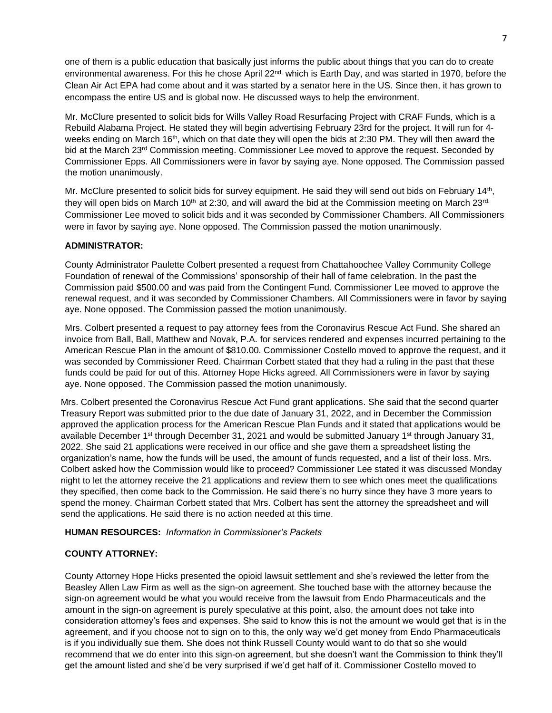one of them is a public education that basically just informs the public about things that you can do to create environmental awareness. For this he chose April 22<sup>nd,</sup> which is Earth Day, and was started in 1970, before the Clean Air Act EPA had come about and it was started by a senator here in the US. Since then, it has grown to encompass the entire US and is global now. He discussed ways to help the environment.

Mr. McClure presented to solicit bids for Wills Valley Road Resurfacing Project with CRAF Funds, which is a Rebuild Alabama Project. He stated they will begin advertising February 23rd for the project. It will run for 4 weeks ending on March 16<sup>th</sup>, which on that date they will open the bids at 2:30 PM. They will then award the bid at the March 23<sup>rd</sup> Commission meeting. Commissioner Lee moved to approve the request. Seconded by Commissioner Epps. All Commissioners were in favor by saying aye. None opposed. The Commission passed the motion unanimously.

Mr. McClure presented to solicit bids for survey equipment. He said they will send out bids on February 14<sup>th</sup>, they will open bids on March 10<sup>th</sup> at 2:30, and will award the bid at the Commission meeting on March 23rd. Commissioner Lee moved to solicit bids and it was seconded by Commissioner Chambers. All Commissioners were in favor by saying aye. None opposed. The Commission passed the motion unanimously.

## **ADMINISTRATOR:**

County Administrator Paulette Colbert presented a request from Chattahoochee Valley Community College Foundation of renewal of the Commissions' sponsorship of their hall of fame celebration. In the past the Commission paid \$500.00 and was paid from the Contingent Fund. Commissioner Lee moved to approve the renewal request, and it was seconded by Commissioner Chambers. All Commissioners were in favor by saying aye. None opposed. The Commission passed the motion unanimously.

Mrs. Colbert presented a request to pay attorney fees from the Coronavirus Rescue Act Fund. She shared an invoice from Ball, Ball, Matthew and Novak, P.A. for services rendered and expenses incurred pertaining to the American Rescue Plan in the amount of \$810.00. Commissioner Costello moved to approve the request, and it was seconded by Commissioner Reed. Chairman Corbett stated that they had a ruling in the past that these funds could be paid for out of this. Attorney Hope Hicks agreed. All Commissioners were in favor by saying aye. None opposed. The Commission passed the motion unanimously.

Mrs. Colbert presented the Coronavirus Rescue Act Fund grant applications. She said that the second quarter Treasury Report was submitted prior to the due date of January 31, 2022, and in December the Commission approved the application process for the American Rescue Plan Funds and it stated that applications would be available December 1<sup>st</sup> through December 31, 2021 and would be submitted January 1<sup>st</sup> through January 31, 2022. She said 21 applications were received in our office and she gave them a spreadsheet listing the organization's name, how the funds will be used, the amount of funds requested, and a list of their loss. Mrs. Colbert asked how the Commission would like to proceed? Commissioner Lee stated it was discussed Monday night to let the attorney receive the 21 applications and review them to see which ones meet the qualifications they specified, then come back to the Commission. He said there's no hurry since they have 3 more years to spend the money. Chairman Corbett stated that Mrs. Colbert has sent the attorney the spreadsheet and will send the applications. He said there is no action needed at this time.

**HUMAN RESOURCES:** *Information in Commissioner's Packets* 

## **COUNTY ATTORNEY:**

County Attorney Hope Hicks presented the opioid lawsuit settlement and she's reviewed the letter from the Beasley Allen Law Firm as well as the sign-on agreement. She touched base with the attorney because the sign-on agreement would be what you would receive from the lawsuit from Endo Pharmaceuticals and the amount in the sign-on agreement is purely speculative at this point, also, the amount does not take into consideration attorney's fees and expenses. She said to know this is not the amount we would get that is in the agreement, and if you choose not to sign on to this, the only way we'd get money from Endo Pharmaceuticals is if you individually sue them. She does not think Russell County would want to do that so she would recommend that we do enter into this sign-on agreement, but she doesn't want the Commission to think they'll get the amount listed and she'd be very surprised if we'd get half of it. Commissioner Costello moved to